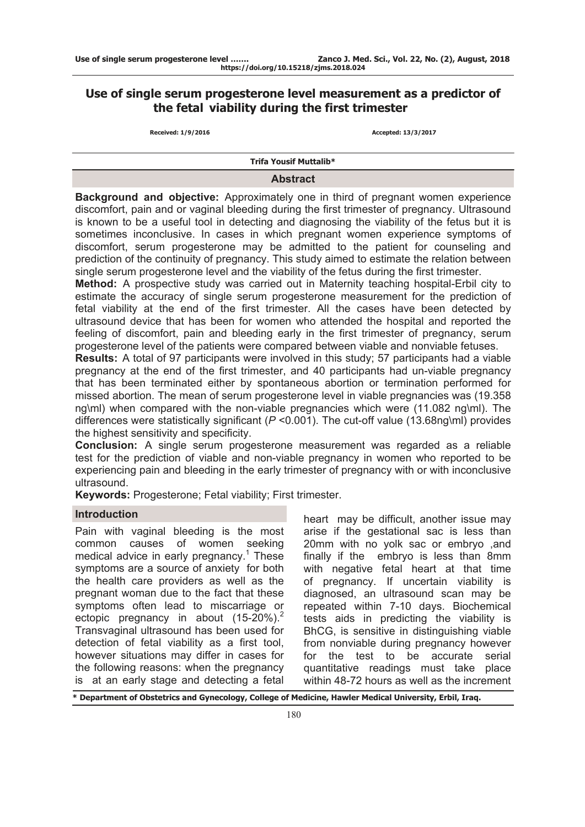# **Use of single serum progesterone level measurement as a predictor of the fetal viability during the first trimester**

**Received: 1/9/2016 Accepted: 13/3/2017**

**Trifa Yousif Muttalib\***

# **Abstract**

**Background and objective:** Approximately one in third of pregnant women experience discomfort, pain and or vaginal bleeding during the first trimester of pregnancy. Ultrasound is known to be a useful tool in detecting and diagnosing the viability of the fetus but it is sometimes inconclusive. In cases in which pregnant women experience symptoms of discomfort, serum progesterone may be admitted to the patient for counseling and prediction of the continuity of pregnancy. This study aimed to estimate the relation between single serum progesterone level and the viability of the fetus during the first trimester.

**Method:** A prospective study was carried out in Maternity teaching hospital-Erbil city to estimate the accuracy of single serum progesterone measurement for the prediction of fetal viability at the end of the first trimester. All the cases have been detected by ultrasound device that has been for women who attended the hospital and reported the feeling of discomfort, pain and bleeding early in the first trimester of pregnancy, serum progesterone level of the patients were compared between viable and nonviable fetuses.

**Results:** A total of 97 participants were involved in this study; 57 participants had a viable pregnancy at the end of the first trimester, and 40 participants had un-viable pregnancy that has been terminated either by spontaneous abortion or termination performed for missed abortion. The mean of serum progesterone level in viable pregnancies was (19.358 ng\ml) when compared with the non-viable pregnancies which were (11.082 ng\ml). The differences were statistically significant (*P* <0.001). The cut-off value (13.68ng\ml) provides the highest sensitivity and specificity.

**Conclusion:** A single serum progesterone measurement was regarded as a reliable test for the prediction of viable and non-viable pregnancy in women who reported to be experiencing pain and bleeding in the early trimester of pregnancy with or with inconclusive ultrasound.

**Keywords:** Progesterone; Fetal viability; First trimester.

# **Introduction**

Pain with vaginal bleeding is the most common causes of women seeking medical advice in early pregnancy.<sup>1</sup> These symptoms are a source of anxiety for both the health care providers as well as the pregnant woman due to the fact that these symptoms often lead to miscarriage or ectopic pregnancy in about  $(15-20\%)$ <sup>2</sup> Transvaginal ultrasound has been used for detection of fetal viability as a first tool, however situations may differ in cases for the following reasons: when the pregnancy is at an early stage and detecting a fetal

heart may be difficult, another issue may arise if the gestational sac is less than 20mm with no yolk sac or embryo ,and finally if the embryo is less than 8mm with negative fetal heart at that time of pregnancy. If uncertain viability is diagnosed, an ultrasound scan may be repeated within 7-10 days. Biochemical tests aids in predicting the viability is BhCG, is sensitive in distinguishing viable from nonviable during pregnancy however for the test to be accurate serial quantitative readings must take place within 48-72 hours as well as the increment

**\* Department of Obstetrics and Gynecology, College of Medicine, Hawler Medical University, Erbil, Iraq.**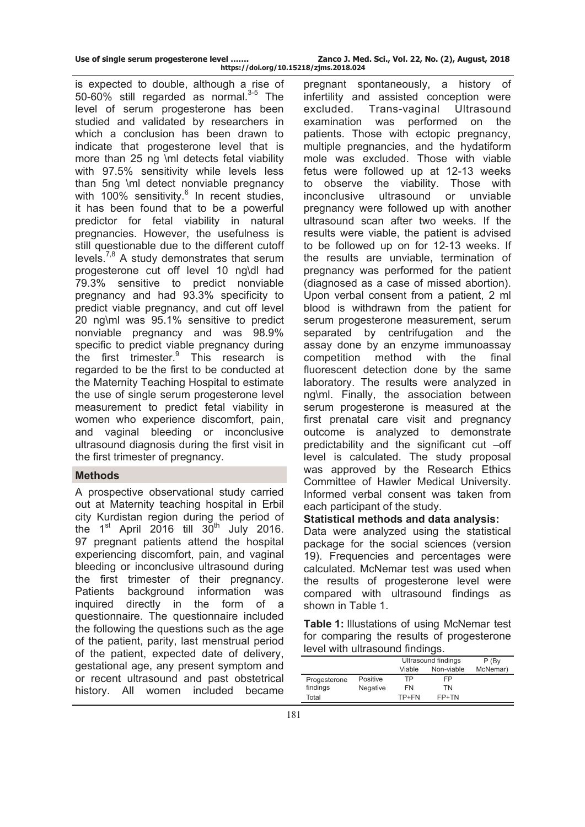**Use of single serum progesterone level ……. Zanco J. Med. Sci., Vol. 22, No. (2), August, 2018 https://doi.org/10.15218/zjms.2018.024**

is expected to double, although a rise of 50-60% still regarded as normal. $3-5$  The level of serum progesterone has been studied and validated by researchers in which a conclusion has been drawn to indicate that progesterone level that is more than 25 ng \ml detects fetal viability with 97.5% sensitivity while levels less than 5ng \ml detect nonviable pregnancy with 100% sensitivity. $6$  In recent studies, it has been found that to be a powerful predictor for fetal viability in natural pregnancies. However, the usefulness is still questionable due to the different cutoff levels.<sup>7,8</sup> A study demonstrates that serum progesterone cut off level 10 ng\dl had 79.3% sensitive to predict nonviable pregnancy and had 93.3% specificity to predict viable pregnancy, and cut off level 20 ng\ml was 95.1% sensitive to predict nonviable pregnancy and was 98.9% specific to predict viable pregnancy during the first trimester.<sup>9</sup> This research is regarded to be the first to be conducted at the Maternity Teaching Hospital to estimate the use of single serum progesterone level measurement to predict fetal viability in women who experience discomfort, pain, and vaginal bleeding or inconclusive ultrasound diagnosis during the first visit in the first trimester of pregnancy.

### **Methods**

A prospective observational study carried out at Maternity teaching hospital in Erbil city Kurdistan region during the period of the  $1<sup>st</sup>$  April 2016 till  $30<sup>th</sup>$  July 2016. 97 pregnant patients attend the hospital experiencing discomfort, pain, and vaginal bleeding or inconclusive ultrasound during the first trimester of their pregnancy. Patients background information was inquired directly in the form of a questionnaire. The questionnaire included the following the questions such as the age of the patient, parity, last menstrual period of the patient, expected date of delivery, gestational age, any present symptom and or recent ultrasound and past obstetrical history. All women included became

pregnant spontaneously, a history of infertility and assisted conception were excluded. Trans-vaginal Ultrasound examination was performed on the patients. Those with ectopic pregnancy, multiple pregnancies, and the hydatiform mole was excluded. Those with viable fetus were followed up at 12-13 weeks to observe the viability. Those with inconclusive ultrasound or unviable pregnancy were followed up with another ultrasound scan after two weeks. If the results were viable, the patient is advised to be followed up on for 12-13 weeks. If the results are unviable, termination of pregnancy was performed for the patient (diagnosed as a case of missed abortion). Upon verbal consent from a patient, 2 ml blood is withdrawn from the patient for serum progesterone measurement, serum separated by centrifugation and the assay done by an enzyme immunoassay competition method with the final fluorescent detection done by the same laboratory. The results were analyzed in ng\ml. Finally, the association between serum progesterone is measured at the first prenatal care visit and pregnancy outcome is analyzed to demonstrate predictability and the significant cut –off level is calculated. The study proposal was approved by the Research Ethics Committee of Hawler Medical University. Informed verbal consent was taken from each participant of the study.

# **Statistical methods and data analysis:**

Data were analyzed using the statistical package for the social sciences (version 19). Frequencies and percentages were calculated. McNemar test was used when the results of progesterone level were compared with ultrasound findings as shown in Table 1.

**Table 1:** Illustations of using McNemar test for comparing the results of progesterone level with ultrasound findings.

|              |                 | Ultrasound findings |            | P(BV)    |
|--------------|-----------------|---------------------|------------|----------|
|              |                 | Viable              | Non-viable | McNemar) |
| Progesterone | Positive        | ТP                  | FP         |          |
| findings     | <b>Negative</b> | FN                  | TN         |          |
| Total        |                 | TP+FN               | FP+TN      |          |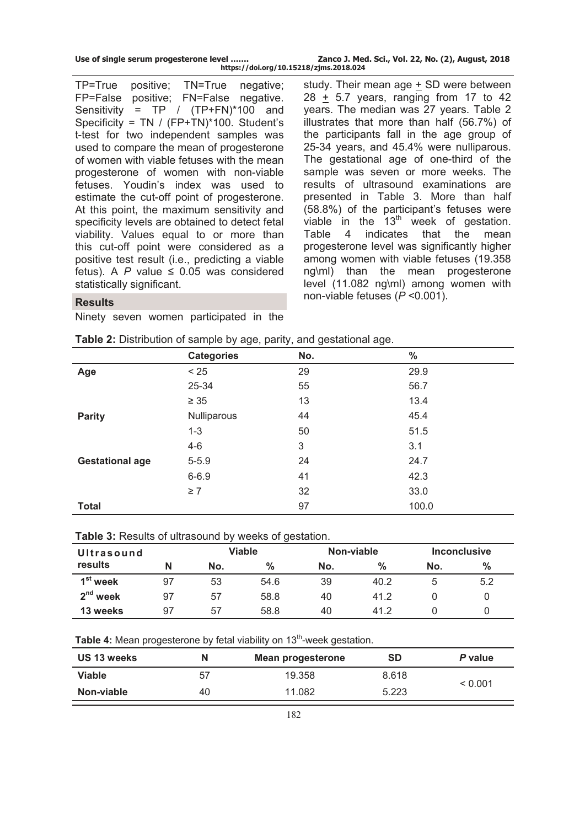|  |  |  |  |  | Use of single serum progesterone level |  |  |
|--|--|--|--|--|----------------------------------------|--|--|
|--|--|--|--|--|----------------------------------------|--|--|

TP=True positive; TN=True negative; FP=False positive; FN=False negative. Sensitivity = TP / (TP+FN)\*100 and Specificity = TN / (FP+TN)\*100. Student's t-test for two independent samples was used to compare the mean of progesterone of women with viable fetuses with the mean progesterone of women with non-viable fetuses. Youdin's index was used to estimate the cut-off point of progesterone. At this point, the maximum sensitivity and specificity levels are obtained to detect fetal viability. Values equal to or more than this cut-off point were considered as a positive test result (i.e., predicting a viable fetus). A  $P$  value  $\leq$  0.05 was considered statistically significant.

study. Their mean age + SD were between 28 + 5.7 years, ranging from 17 to 42 years. The median was 27 years. Table 2 illustrates that more than half (56.7%) of the participants fall in the age group of 25-34 years, and 45.4% were nulliparous. The gestational age of one-third of the sample was seven or more weeks. The results of ultrasound examinations are presented in Table 3. More than half (58.8%) of the participant's fetuses were viable in the  $13<sup>th</sup>$  week of gestation. Table 4 indicates that the mean progesterone level was significantly higher among women with viable fetuses (19.358 ng\ml) than the mean progesterone level (11.082 ng\ml) among women with non-viable fetuses (*P* <0.001).

## **Results**

Ninety seven women participated in the

| Table 2: Distribution of sample by age, parity, and gestational age. |  |  |
|----------------------------------------------------------------------|--|--|
|                                                                      |  |  |

|                        | <b>Categories</b> | No. | י די שיד<br>$\%$ |  |
|------------------------|-------------------|-----|------------------|--|
| Age                    | < 25              | 29  | 29.9             |  |
|                        | 25-34             | 55  | 56.7             |  |
|                        | $\geq 35$         | 13  | 13.4             |  |
| <b>Parity</b>          | Nulliparous       | 44  | 45.4             |  |
|                        | $1 - 3$           | 50  | 51.5             |  |
|                        | $4 - 6$           | 3   | 3.1              |  |
| <b>Gestational age</b> | $5 - 5.9$         | 24  | 24.7             |  |
|                        | $6 - 6.9$         | 41  | 42.3             |  |
|                        | $\geq 7$          | 32  | 33.0             |  |
| <b>Total</b>           |                   | 97  | 100.0            |  |

### **Table 3:** Results of ultrasound by weeks of gestation.

| Ultrasound           |    | Viable |      | Non-viable |      | <b>Inconclusive</b> |               |
|----------------------|----|--------|------|------------|------|---------------------|---------------|
| results              | Ν  | No.    | %    | No.        | %    | No.                 | $\frac{0}{0}$ |
| 1 <sup>st</sup> week | 97 | 53     | 54.6 | 39         | 40.2 |                     | 5.2           |
| $2nd$ week           | 97 | 57     | 58.8 | 40         | 41.2 |                     |               |
| 13 weeks             | 97 | 57     | 58.8 | 40         | 412  |                     |               |

Table 4: Mean progesterone by fetal viability on 13<sup>th</sup>-week gestation.

| US 13 weeks   | N  | Mean progesterone | SD    | P value |
|---------------|----|-------------------|-------|---------|
| <b>Viable</b> | 57 | 19.358            | 8.618 | < 0.001 |
| Non-viable    | 40 | 11.082            | 5.223 |         |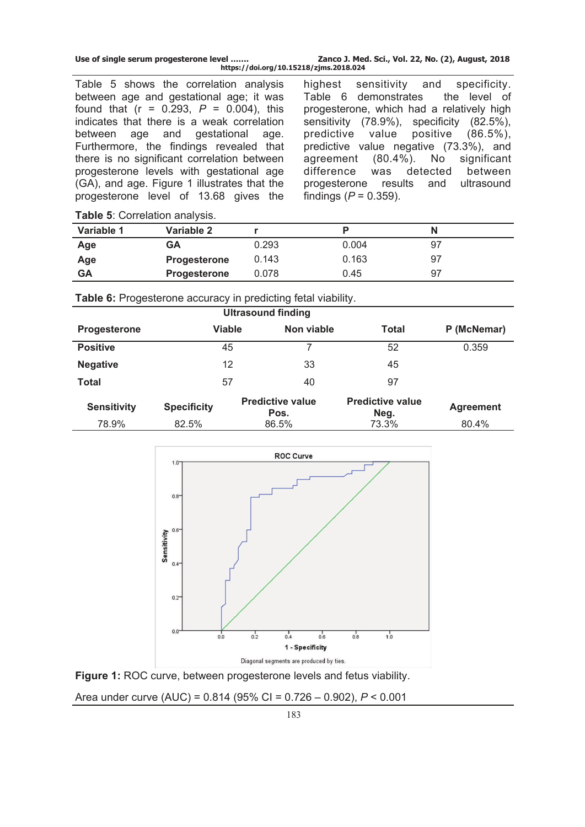Table 5 shows the correlation analysis between age and gestational age; it was found that  $(r = 0.293, P = 0.004)$ , this indicates that there is a weak correlation between age and gestational age. Furthermore, the findings revealed that there is no significant correlation between progesterone levels with gestational age (GA), and age. Figure 1 illustrates that the progesterone level of 13.68 gives the

highest sensitivity and specificity. Table 6 demonstrates the level of progesterone, which had a relatively high sensitivity (78.9%), specificity (82.5%), predictive value positive (86.5%), predictive value negative (73.3%), and agreement (80.4%). No significant difference was detected between progesterone results and ultrasound findings  $(P = 0.359)$ .

|  |  |  | Table 5: Correlation analysis. |
|--|--|--|--------------------------------|
|--|--|--|--------------------------------|

| Variable 1 | Variable 2   |       |       |    |  |
|------------|--------------|-------|-------|----|--|
| Age        | GΑ           | 0.293 | 0.004 |    |  |
| Age        | Progesterone | 0.143 | 0.163 | 97 |  |
| GΑ         | Progesterone | 0.078 | 0.45  | 97 |  |
|            |              |       |       |    |  |

**Table 6:** Progesterone accuracy in predicting fetal viability.

| <b>Ultrasound finding</b> |                    |                                 |                                 |                  |  |  |
|---------------------------|--------------------|---------------------------------|---------------------------------|------------------|--|--|
| Progesterone              | <b>Viable</b>      | Non viable                      | Total                           | P (McNemar)      |  |  |
| <b>Positive</b>           | 45                 |                                 | 52                              | 0.359            |  |  |
| <b>Negative</b>           | 12                 | 33                              | 45                              |                  |  |  |
| <b>Total</b>              | 57                 | 40                              | 97                              |                  |  |  |
| <b>Sensitivity</b>        | <b>Specificity</b> | <b>Predictive value</b><br>Pos. | <b>Predictive value</b><br>Neg. | <b>Agreement</b> |  |  |
| 78.9%                     | 82.5%              | 86.5%                           | 73.3%                           | 80.4%            |  |  |





Area under curve (AUC) = 0.814 (95% CI = 0.726 – 0.902), *P* < 0.001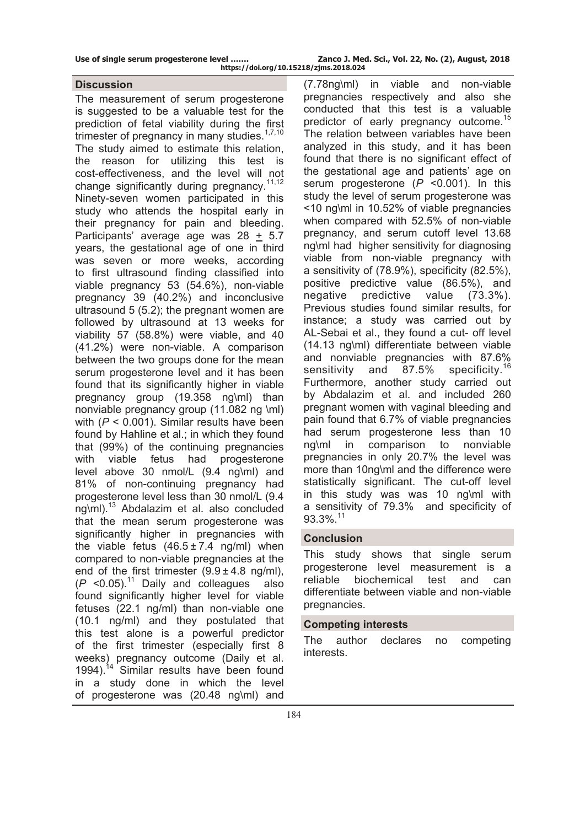The measurement of serum progesterone is suggested to be a valuable test for the prediction of fetal viability during the first trimester of pregnancy in many studies.<sup>1,7,10</sup> The study aimed to estimate this relation, the reason for utilizing this test is cost-effectiveness, and the level will not change significantly during pregnancy.<sup>11,12</sup> Ninety-seven women participated in this study who attends the hospital early in their pregnancy for pain and bleeding. Participants' average age was 28 + 5.7 years, the gestational age of one in third was seven or more weeks, according to first ultrasound finding classified into viable pregnancy 53 (54.6%), non-viable pregnancy 39 (40.2%) and inconclusive ultrasound 5 (5.2); the pregnant women are followed by ultrasound at 13 weeks for viability 57 (58.8%) were viable, and 40 (41.2%) were non-viable. A comparison between the two groups done for the mean serum progesterone level and it has been found that its significantly higher in viable pregnancy group (19.358 ng\ml) than nonviable pregnancy group (11.082 ng \ml) with (*P* < 0.001). Similar results have been found by Hahline et al.; in which they found that (99%) of the continuing pregnancies with viable fetus had progesterone level above 30 nmol/L (9.4 ng\ml) and 81% of non-continuing pregnancy had progesterone level less than 30 nmol/L (9.4 ng\ml).13 Abdalazim et al. also concluded that the mean serum progesterone was significantly higher in pregnancies with the viable fetus  $(46.5 \pm 7.4 \text{ ng/ml})$  when compared to non-viable pregnancies at the end of the first trimester  $(9.9 \pm 4.8 \text{ ng/ml})$ ,  $(P \le 0.05)^{11}$  Daily and colleagues also found significantly higher level for viable fetuses (22.1 ng/ml) than non-viable one (10.1 ng/ml) and they postulated that this test alone is a powerful predictor of the first trimester (especially first 8 weeks) pregnancy outcome (Daily et al. 1994).<sup>14</sup> Similar results have been found in a study done in which the level of progesterone was (20.48 ng\ml) and

**Discussion** (7.78ng\ml) in viable and non-viable pregnancies respectively and also she conducted that this test is a valuable predictor of early pregnancy outcome.<sup>15</sup> The relation between variables have been analyzed in this study, and it has been found that there is no significant effect of the gestational age and patients' age on serum progesterone (*P* <0.001). In this study the level of serum progesterone was <10 ng\ml in 10.52% of viable pregnancies when compared with 52.5% of non-viable pregnancy, and serum cutoff level 13.68 ng\ml had higher sensitivity for diagnosing viable from non-viable pregnancy with a sensitivity of (78.9%), specificity (82.5%), positive predictive value (86.5%), and negative predictive value (73.3%). Previous studies found similar results, for instance; a study was carried out by AL-Sebai et al., they found a cut- off level (14.13 ng\ml) differentiate between viable and nonviable pregnancies with 87.6% sensitivity and 87.5% specificity.<sup>16</sup> Furthermore, another study carried out by Abdalazim et al. and included 260 pregnant women with vaginal bleeding and pain found that 6.7% of viable pregnancies had serum progesterone less than 10 ng\ml in comparison to nonviable pregnancies in only 20.7% the level was more than 10ng\ml and the difference were statistically significant. The cut-off level in this study was was 10 ng\ml with a sensitivity of 79.3% and specificity of 93.3%.<sup>11</sup>

# **Conclusion**

This study shows that single serum progesterone level measurement is a reliable biochemical test and can differentiate between viable and non-viable pregnancies.

# **Competing interests**

The author declares no competing interests.